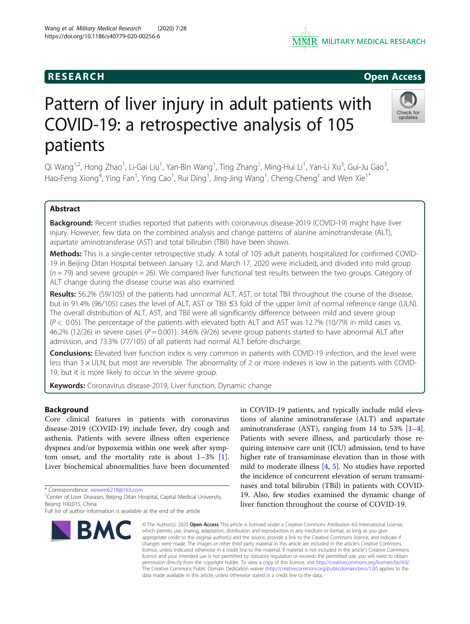# **RESEARCH RESEARCH CONSUMING ACCESS**

# Pattern of liver injury in adult patients with COVID-19: a retrospective analysis of 105 patients

Qi Wang<sup>1,2</sup>, Hong Zhao<sup>1</sup>, Li-Gai Liu<sup>1</sup>, Yan-Bin Wang<sup>1</sup>, Ting Zhang<sup>1</sup>, Ming-Hui Li<sup>1</sup>, Yan-Li Xu<sup>3</sup>, Gui-Ju Gao<sup>3</sup> , Hao-Feng Xiong<sup>4</sup>, Ying Fan<sup>1</sup>, Ying Cao<sup>1</sup>, Rui Ding<sup>1</sup>, Jing-Jing Wang<sup>1</sup>, Cheng Cheng<sup>1</sup> and Wen Xie<sup>1\*</sup>

## Abstract

Background: Recent studies reported that patients with coronavirus disease-2019 (COVID-19) might have liver injury. However, few data on the combined analysis and change patterns of alanine aminotransferase (ALT), aspartate aminotransferase (AST) and total bilirubin (TBil) have been shown.

Methods: This is a single-center retrospective study. A total of 105 adult patients hospitalized for confirmed COVID-19 in Beijing Ditan Hospital between January 12, and March 17, 2020 were included, and divided into mild group  $(n = 79)$  and severe group( $n = 26$ ). We compared liver functional test results between the two groups. Category of ALT change during the disease course was also examined.

Results: 56.2% (59/105) of the patients had unnormal ALT, AST, or total TBil throughout the course of the disease, but in 91.4% (96/105) cases the level of ALT, AST or TBil ≤3 fold of the upper limit of normal reference range (ULN). The overall distribution of ALT, AST, and TBil were all significantly difference between mild and severe group  $(P < 0.05)$ . The percentage of the patients with elevated both ALT and AST was 12.7% (10/79) in mild cases vs. 46.2% (12/26) in severe cases ( $P = 0.001$ ). 34.6% (9/26) severe group patients started to have abnormal ALT after admission, and 73.3% (77/105) of all patients had normal ALT before discharge.

**Conclusions:** Elevated liver function index is very common in patients with COVID-19 infection, and the level were less than  $3 \times$  ULN, but most are reversible. The abnormality of 2 or more indexes is low in the patients with COVID-19, but it is more likely to occur in the severe group.

Keywords: Coronavirus disease-2019, Liver function, Dynamic change

### Background

Core clinical features in patients with coronavirus disease-2019 (COVID-19) include fever, dry cough and asthenia. Patients with severe illness often experience dyspnea and/or hypoxemia within one week after symptom onset, and the mortality rate is about  $1-3\%$  [\[1](#page-7-0)]. Liver biochemical abnormalities have been documented

\* Correspondence: [xiewen6218@163.com](mailto:xiewen6218@163.com) <sup>1</sup>

**BMC** 

tions of alanine aminotransferase (ALT) and aspartate aminotransferase (AST), ranging from 1[4](#page-7-0) to 53%  $[1-4]$  $[1-4]$ . Patients with severe illness, and particularly those requiring intensive care unit (ICU) admission, tend to have higher rate of transaminase elevation than in those with mild to moderate illness [\[4,](#page-7-0) [5](#page-7-0)]. No studies have reported the incidence of concurrent elevation of serum transaminases and total bilirubin (TBil) in patients with COVID-19. Also, few studies examined the dynamic change of liver function throughout the course of COVID-19.

in COVID-19 patients, and typically include mild eleva-

© The Author(s), 2020 **Open Access** This article is licensed under a Creative Commons Attribution 4.0 International License, which permits use, sharing, adaptation, distribution and reproduction in any medium or format, as long as you give appropriate credit to the original author(s) and the source, provide a link to the Creative Commons licence, and indicate if changes were made. The images or other third party material in this article are included in the article's Creative Commons licence, unless indicated otherwise in a credit line to the material. If material is not included in the article's Creative Commons licence and your intended use is not permitted by statutory regulation or exceeds the permitted use, you will need to obtain permission directly from the copyright holder. To view a copy of this licence, visit [http://creativecommons.org/licenses/by/4.0/.](http://creativecommons.org/licenses/by/4.0/) The Creative Commons Public Domain Dedication waiver [\(http://creativecommons.org/publicdomain/zero/1.0/](http://creativecommons.org/publicdomain/zero/1.0/)) applies to the data made available in this article, unless otherwise stated in a credit line to the data.







<sup>&</sup>lt;sup>1</sup> Center of Liver Diseases, Beijing Ditan Hospital, Capital Medical University, Beijing 100,015, China

Full list of author information is available at the end of the article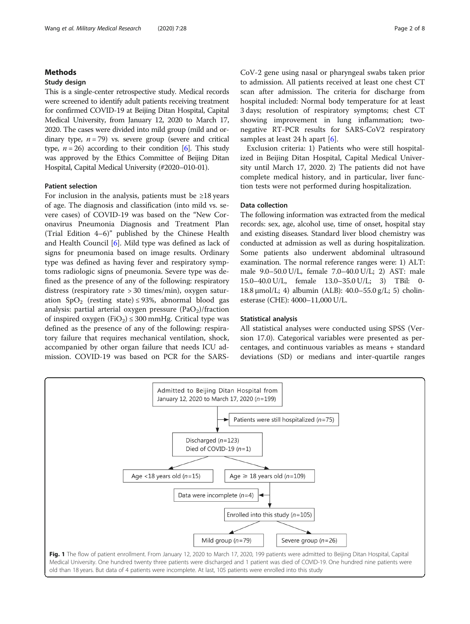#### <span id="page-1-0"></span>Methods

#### Study design

This is a single-center retrospective study. Medical records were screened to identify adult patients receiving treatment for confirmed COVID-19 at Beijing Ditan Hospital, Capital Medical University, from January 12, 2020 to March 17, 2020. The cases were divided into mild group (mild and ordinary type,  $n = 79$ ) vs. severe group (severe and critical type,  $n = 26$ ) according to their condition [\[6](#page-7-0)]. This study was approved by the Ethics Committee of Beijing Ditan Hospital, Capital Medical University (#2020–010-01).

#### Patient selection

For inclusion in the analysis, patients must be  $\geq 18$  years of age. The diagnosis and classification (into mild vs. severe cases) of COVID-19 was based on the "New Coronavirus Pneumonia Diagnosis and Treatment Plan (Trial Edition 4–6)" published by the Chinese Health and Health Council [[6\]](#page-7-0). Mild type was defined as lack of signs for pneumonia based on image results. Ordinary type was defined as having fever and respiratory symptoms radiologic signs of pneumonia. Severe type was defined as the presence of any of the following: respiratory distress (respiratory rate > 30 times/min), oxygen saturation  $SpO<sub>2</sub>$  (resting state) ≤ 93%, abnormal blood gas analysis: partial arterial oxygen pressure  $(PaO<sub>2</sub>)/fraction$ of inspired oxygen  $(FiO<sub>2</sub>) \le 300$  mmHg. Critical type was defined as the presence of any of the following: respiratory failure that requires mechanical ventilation, shock, accompanied by other organ failure that needs ICU admission. COVID-19 was based on PCR for the SARS-

CoV-2 gene using nasal or pharyngeal swabs taken prior to admission. All patients received at least one chest CT scan after admission. The criteria for discharge from hospital included: Normal body temperature for at least 3 days; resolution of respiratory symptoms; chest CT showing improvement in lung inflammation; twonegative RT-PCR results for SARS-CoV2 respiratory samples at least 24 h apart [[6\]](#page-7-0).

Exclusion criteria: 1) Patients who were still hospitalized in Beijing Ditan Hospital, Capital Medical University until March 17, 2020. 2) The patients did not have complete medical history, and in particular, liver function tests were not performed during hospitalization.

#### Data collection

The following information was extracted from the medical records: sex, age, alcohol use, time of onset, hospital stay and existing diseases. Standard liver blood chemistry was conducted at admission as well as during hospitalization. Some patients also underwent abdominal ultrasound examination. The normal reference ranges were: 1) ALT: male 9.0–50.0 U/L, female 7.0–40.0 U/L; 2) AST: male 15.0–40.0 U/L, female 13.0–35.0 U/L; 3) TBil: 0- 18.8 μmol/L; 4) albumin (ALB): 40.0–55.0 g/L; 5) cholinesterase (CHE): 4000–11,000 U/L.

#### Statistical analysis

All statistical analyses were conducted using SPSS (Version 17.0). Categorical variables were presented as percentages, and continuous variables as means + standard deviations (SD) or medians and inter-quartile ranges

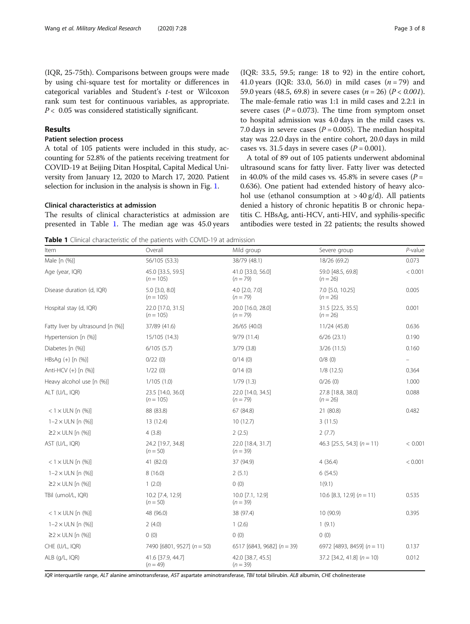<span id="page-2-0"></span>(IQR, 25-75th). Comparisons between groups were made by using chi-square test for mortality or differences in categorical variables and Student's t-test or Wilcoxon rank sum test for continuous variables, as appropriate.  $P < 0.05$  was considered statistically significant.

#### Results

#### Patient selection process

A total of 105 patients were included in this study, accounting for 52.8% of the patients receiving treatment for COVID-19 at Beijing Ditan Hospital, Capital Medical University from January 12, 2020 to March 17, 2020. Patient selection for inclusion in the analysis is shown in Fig. [1.](#page-1-0)

#### Clinical characteristics at admission

The results of clinical characteristics at admission are presented in Table 1. The median age was 45.0 years (IQR: 33.5, 59.5; range: 18 to 92) in the entire cohort, 41.0 years (IQR: 33.0, 56.0) in mild cases  $(n = 79)$  and 59.0 years (48.5, 69.8) in severe cases ( $n = 26$ ) ( $P < 0.001$ ). The male-female ratio was 1:1 in mild cases and 2.2:1 in severe cases ( $P = 0.073$ ). The time from symptom onset to hospital admission was 4.0 days in the mild cases vs. 7.0 days in severe cases ( $P = 0.005$ ). The median hospital stay was 22.0 days in the entire cohort, 20.0 days in mild cases vs. 31.5 days in severe cases  $(P = 0.001)$ .

A total of 89 out of 105 patients underwent abdominal ultrasound scans for fatty liver. Fatty liver was detected in 40.0% of the mild cases vs. 45.8% in severe cases ( $P =$ 0.636). One patient had extended history of heavy alcohol use (ethanol consumption at  $> 40 \text{ g/d}$ ). All patients denied a history of chronic hepatitis B or chronic hepatitis C. HBsAg, anti-HCV, anti-HIV, and syphilis-specific antibodies were tested in 22 patients; the results showed

Table 1 Clinical characteristic of the patients with COVID-19 at admission

| Item                              | Overall                          | Mild group                      | Severe group                    | $P$ -value |
|-----------------------------------|----------------------------------|---------------------------------|---------------------------------|------------|
| Male [n (%)]                      | 56/105 (53.3)                    | 38/79 (48.1)                    | 18/26 (69.2)                    | 0.073      |
| Age (year, IQR)                   | 45.0 [33.5, 59.5]<br>$(n = 105)$ | 41.0 [33.0, 56.0]<br>$(n = 79)$ | 59.0 [48.5, 69.8]<br>$(n = 26)$ | < 0.001    |
| Disease duration (d, IQR)         | 5.0 [3.0, 8.0]<br>$(n = 105)$    | $4.0$ [2.0, 7.0]<br>$(n = 79)$  | 7.0 [5.0, 10.25]<br>$(n = 26)$  | 0.005      |
| Hospital stay (d, IQR)            | 22.0 [17.0, 31.5]<br>$(n = 105)$ | 20.0 [16.0, 28.0]<br>$(n = 79)$ | 31.5 [22.5, 35.5]<br>$(n = 26)$ | 0.001      |
| Fatty liver by ultrasound [n (%)] | 37/89 (41.6)                     | 26/65 (40.0)                    | 11/24 (45.8)                    | 0.636      |
| Hypertension [n (%)]              | 15/105 (14.3)                    | 9/79 (11.4)                     | 6/26(23.1)                      | 0.190      |
| Diabetes [n (%)]                  | 6/105(5.7)                       | 3/79(3.8)                       | 3/26(11.5)                      | 0.160      |
| $HBSAg (+)$ [n $(\%)$ ]           | 0/22(0)                          | 0/14(0)                         | 0/8(0)                          |            |
| Anti-HCV (+) [n (%)]              | 1/22(0)                          | 0/14(0)                         | 1/8(12.5)                       | 0.364      |
| Heavy alcohol use [n (%)]         | 1/105(1.0)                       | 1/79(1.3)                       | 0/26(0)                         | 1.000      |
| ALT (U/L, IQR)                    | 23.5 [14.0, 36.0]<br>$(n = 105)$ | 22.0 [14.0, 34.5]<br>$(n = 79)$ | 27.8 [18.8, 38.0]<br>$(n = 26)$ | 0.088      |
| $<$ 1 $\times$ ULN [n (%)]        | 88 (83.8)                        | 67 (84.8)                       | 21 (80.8)                       | 0.482      |
| $1 - 2 \times ULN$ [n $(\%)$ ]    | 13 (12.4)                        | 10(12.7)                        | 3(11.5)                         |            |
| $\geq$ 2 $\times$ ULN [n (%)]     | 4(3.8)                           | 2(2.5)                          | 2(7.7)                          |            |
| AST (U/L, IQR)                    | 24.2 [19.7, 34.8]<br>$(n = 50)$  | 22.0 [18.4, 31.7]<br>$(n=39)$   | 46.3 $[25.5, 54.3]$ (n = 11)    | < 0.001    |
| $< 1 \times$ ULN [n $(\%)$ ]      | 41 (82.0)                        | 37 (94.9)                       | 4(36.4)                         | < 0.001    |
| $1 - 2 \times ULN$ [n $(\%)$ ]    | 8(16.0)                          | 2(5.1)                          | 6(54.5)                         |            |
| $\geq$ 2 $\times$ ULN [n (%)]     | 1(2.0)                           | 0(0)                            | 1(9.1)                          |            |
| TBil (umol/L, IQR)                | 10.2 [7.4, 12.9]<br>$(n = 50)$   | 10.0 [7.1, 12.9]<br>$(n=39)$    | 10.6 [8.3, 12.9] $(n = 11)$     | 0.535      |
| $< 1 \times$ ULN [n (%)]          | 48 (96.0)                        | 38 (97.4)                       | 10 (90.9)                       | 0.395      |
| $1 - 2 \times ULN$ [n $(\%)$ ]    | 2(4.0)                           | 1(2.6)                          | 1(9.1)                          |            |
| $\geq$ 2 $\times$ ULN [n (%)]     | 0(0)                             | 0(0)                            | 0(0)                            |            |
| CHE (U/L, IQR)                    | 7490 $[6801, 9527]$ $(n = 50)$   | 6517 [6843, 9682] $(n = 39)$    | 6972 [4893, 8459] $(n = 11)$    | 0.137      |
| ALB (q/L, IQR)                    | 41.6 [37.9, 44.7]<br>$(n = 49)$  | 42.0 [38.7, 45.5]<br>$(n = 39)$ | 37.2 [34.2, 41.8] $(n = 10)$    | 0.012      |

IQR interquartile range, ALT alanine aminotransferase, AST aspartate aminotransferase, TBil total bilirubin. ALB albumin, CHE cholinesterase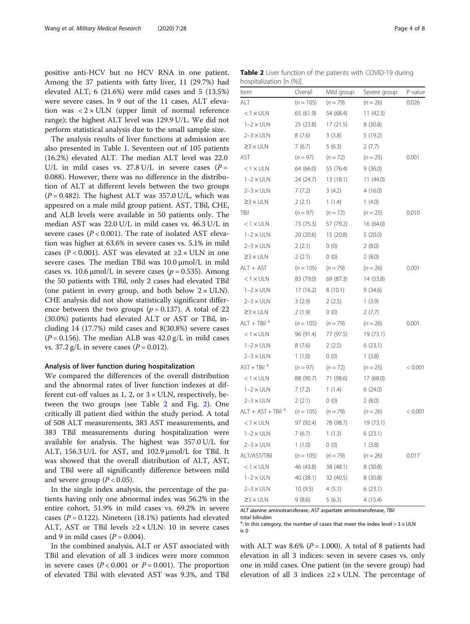positive anti-HCV but no HCV RNA in one patient. Among the 37 patients with fatty liver, 11 (29.7%) had elevated ALT; 6 (21.6%) were mild cases and 5 (13.5%) were severe cases. In 9 out of the 11 cases, ALT elevation was  $\langle 2 \times \text{ULN} \rangle$  (upper limit of normal reference range); the highest ALT level was 129.9 U/L. We did not perform statistical analysis due to the small sample size.

The analysis results of liver functions at admission are also presented in Table [1.](#page-2-0) Seventeen out of 105 patients (16.2%) elevated ALT. The median ALT level was 22.0 U/L in mild cases vs. 27.8 U/L in severe cases ( $P =$ 0.088). However, there was no difference in the distribution of ALT at different levels between the two groups  $(P = 0.482)$ . The highest ALT was 357.0 U/L, which was appeared on a male mild group patient. AST, TBil, CHE, and ALB levels were available in 50 patients only. The median AST was 22.0 U/L in mild cases vs. 46.3 U/L in severe cases  $(P < 0.001)$ . The rate of isolated AST elevation was higher at 63.6% in severe cases vs. 5.1% in mild cases (P < 0.001). AST was elevated at  $\geq 2 \times ULN$  in one severe cases. The median TBil was 10.0 μmol/L in mild cases vs. 10.6  $\mu$ mol/L in severe cases ( $p = 0.535$ ). Among the 50 patients with TBil, only 2 cases had elevated TBil (one patient in every group, and both below  $2 \times \text{ULN}$ ). CHE analysis did not show statistically significant difference between the two groups ( $p = 0.137$ ). A total of 22 (30.0%) patients had elevated ALT or AST or TBil, including 14 (17.7%) mild cases and 8(30.8%) severe cases  $(P = 0.156)$ . The median ALB was  $42.0$  g/L in mild cases vs.  $37.2 \text{ g/L}$  in severe cases ( $P = 0.012$ ).

#### Analysis of liver function during hospitalization

We compared the differences of the overall distribution and the abnormal rates of liver function indexes at different cut-off values as 1, 2, or  $3 \times$  ULN, respectively, between the two groups (see Table 2 and Fig. [2](#page-5-0)). One critically ill patient died within the study period. A total of 508 ALT measurements, 383 AST measurements, and 383 TBil measurements during hospitalization were available for analysis. The highest was 357.0 U/L for ALT, 156.3 U/L for AST, and 102.9 μmol/L for TBil. It was showed that the overall distribution of ALT, AST, and TBil were all significantly difference between mild and severe group  $(P < 0.05)$ .

In the single index analysis, the percentage of the patients having only one abnormal index was 56.2% in the entire cohort, 51.9% in mild cases vs. 69.2% in severe cases ( $P = 0.122$ ). Nineteen (18.1%) patients had elevated ALT, AST or TBil levels  $\geq 2 \times$  ULN: 10 in severe cases and 9 in mild cases  $(P = 0.004)$ .

In the combined analysis, ALT or AST associated with TBil and elevation of all 3 indices were more common in severe cases  $(P < 0.001$  or  $P = 0.001$ ). The proportion of elevated TBil with elevated AST was 9.3%, and TBil

Table 2 Liver function of the patients with COVID-19 during hospitalization [n (%)].

| Item                          | Overall     | Mild group | Severe group | P-value |
|-------------------------------|-------------|------------|--------------|---------|
| ALT                           | $(n = 105)$ | $(n = 79)$ | $(n = 26)$   | 0.026   |
| $< 1 \times$ ULN              | 65 (61.9)   | 54 (68.4)  | 11(42.3)     |         |
| $1-2 \times ULN$              | 25 (23.8)   | 17 (21.5)  | 8(30.8)      |         |
| $2-3 \times ULN$              | 8(7.6)      | 3(3.8)     | 5(19.2)      |         |
| $23 \times ULN$               | 7(6.7)      | 5(6.3)     | 2(7.7)       |         |
| AST                           | $(n = 97)$  | $(n = 72)$ | $(n = 25)$   | 0.001   |
| $< 1 \times$ ULN              | 64 (66.0)   | 55 (76.4)  | 9(36.0)      |         |
| $1-2 \times ULN$              | 24 (24.7)   | 13 (18.1)  | 11(44.0)     |         |
| $2-3 \times ULN$              | 7(7.2)      | 3(4.2)     | 4(16.0)      |         |
| $23 \times ULN$               | 2(2.1)      | 1(1.4)     | 1(4.0)       |         |
| TBil                          | $(n = 97)$  | $(n = 72)$ | $(n = 25)$   | 0.010   |
| $< 1 \times$ ULN              | 73 (75.3)   | 57 (79.2)  | 16 (64.0)    |         |
| $1-2 \times ULN$              | 20 (20.6)   | 15 (20.8)  | 5(20.0)      |         |
| $2-3 \times ULN$              | 2(2.1)      | 0(0)       | 2(8.0)       |         |
| $23 \times ULN$               | 2(2.1)      | 0(0)       | 2(8.0)       |         |
| ALT + AST                     | $(n = 105)$ | $(n = 79)$ | $(n = 26)$   | 0.001   |
| $< 1 \times$ ULN              | 83 (79.0)   | 69 (87.3)  | 14 (53.8)    |         |
| $1-2 \times ULN$              | 17(16.2)    | 8 (10.1)   | 9(34.6)      |         |
| $2-3 \times ULN$              | 3(2.9)      | 2(2.5)     | 1(3.9)       |         |
| $23 \times ULN$               | 2(1.9)      | 0(0)       | 2(7.7)       |         |
| $ALT + TBila$                 | $(n = 105)$ | $(n = 79)$ | $(n = 26)$   | 0.001   |
| $< 1 \times ULN$              | 96 (91.4)   | 77 (97.5)  | 19 (73.1)    |         |
| $1-2 \times ULN$              | 8(7.6)      | 2(2.5)     | 6(23.1)      |         |
| $2-3 \times ULN$              | 1(1.0)      | 0(0)       | 1(3.8)       |         |
| $AST + TBila$                 | $(n = 97)$  | $(n = 72)$ | $(n = 25)$   | < 0.001 |
| $< 1 \times$ ULN              | 88 (90.7)   | 71 (98.6)  | 17 (68.0)    |         |
| $1-2 \times ULN$              | 7(7.2)      | 1(1.4)     | 6(24.0)      |         |
| $2-3 \times ULN$              | 2(2.1)      | 0(0)       | 2(8.0)       |         |
| ALT + AST + TBil <sup>a</sup> | $(n = 105)$ | $(n = 79)$ | $(n = 26)$   | < 0.001 |
| $< 1 \times$ ULN              | 97 (92.4)   | 78 (98.7)  | 19 (73.1)    |         |
| $1-2 \times ULN$              | 7(6.7)      | 1(1.3)     | 6(23.1)      |         |
| $2-3 \times ULN$              | 1(1.0)      | 0(0)       | 1(3.8)       |         |
| ALT/AST/TBil                  | $(n = 105)$ | $(n = 79)$ | $(n = 26)$   | 0.017   |
| $< 1 \times$ ULN              | 46 (43.8)   | 38 (48.1)  | 8 (30.8)     |         |
| $1-2 \times ULN$              | 40 (38.1)   | 32 (40.5)  | 8 (30.8)     |         |
| $2-3 \times ULN$              | 10(9.5)     | 4(5.1)     | 6(23.1)      |         |
| $\geq$ 3 $\times$ ULN         | 9(8.6)      | 5(6.3)     | 4(15.4)      |         |

ALT alanine aminotransferase, AST aspartate aminotransferase, TBil total bilirubin

<sup>a</sup>: In this category, the number of cases that meet the index level >  $3 \times$  ULN is 0

with ALT was 8.6% ( $P = 1.000$ ). A total of 8 patients had elevation in all 3 indices: seven in severe cases vs. only one in mild cases. One patient (in the severe group) had elevation of all 3 indices  $\geq 2 \times$  ULN. The percentage of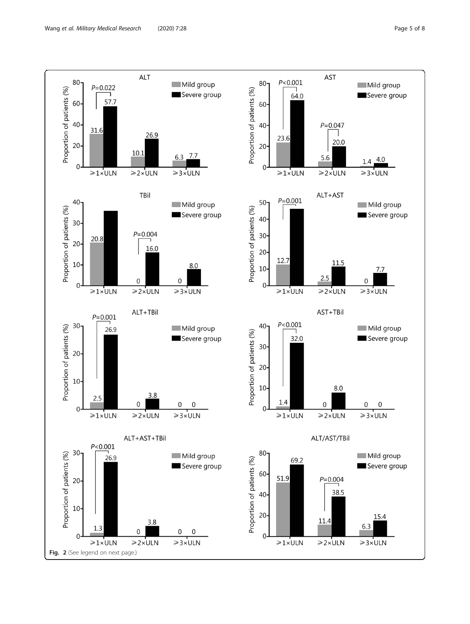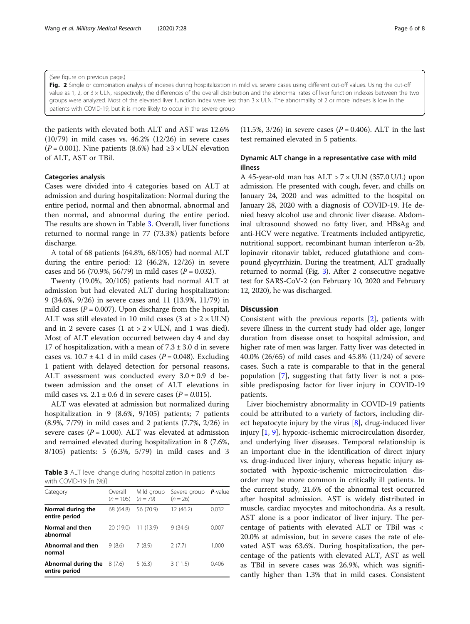<span id="page-5-0"></span>(See figure on previous page.)

Fig. 2 Single or combination analysis of indexes during hospitalization in mild vs. severe cases using different cut-off values. Using the cut-off value as 1, 2, or 3 × ULN, respectively, the differences of the overall distribution and the abnormal rates of liver function indexes between the two groups were analyzed. Most of the elevated liver function index were less than 3 × ULN. The abnormality of 2 or more indexes is low in the patients with COVID-19, but it is more likely to occur in the severe group

the patients with elevated both ALT and AST was 12.6% (10/79) in mild cases vs. 46.2% (12/26) in severe cases ( $P = 0.001$ ). Nine patients (8.6%) had  $\geq 3 \times$  ULN elevation of ALT, AST or TBil.

#### Categories analysis

Cases were divided into 4 categories based on ALT at admission and during hospitalization: Normal during the entire period, normal and then abnormal, abnormal and then normal, and abnormal during the entire period. The results are shown in Table 3. Overall, liver functions returned to normal range in 77 (73.3%) patients before discharge.

A total of 68 patients (64.8%, 68/105) had normal ALT during the entire period: 12 (46.2%, 12/26) in severe cases and 56 (70.9%, 56/79) in mild cases ( $P = 0.032$ ).

Twenty (19.0%, 20/105) patients had normal ALT at admission but had elevated ALT during hospitalization: 9 (34.6%, 9/26) in severe cases and 11 (13.9%, 11/79) in mild cases ( $P = 0.007$ ). Upon discharge from the hospital, ALT was still elevated in 10 mild cases  $(3 at > 2 \times ULN)$ and in 2 severe cases (1 at  $> 2 \times$  ULN, and 1 was died). Most of ALT elevation occurred between day 4 and day 17 of hospitalization, with a mean of  $7.3 \pm 3.0$  d in severe cases vs.  $10.7 \pm 4.1$  d in mild cases ( $P = 0.048$ ). Excluding 1 patient with delayed detection for personal reasons, ALT assessment was conducted every  $3.0 \pm 0.9$  d between admission and the onset of ALT elevations in mild cases vs.  $2.1 \pm 0.6$  d in severe cases ( $P = 0.015$ ).

ALT was elevated at admission but normalized during hospitalization in 9 (8.6%, 9/105) patients; 7 patients (8.9%, 7/79) in mild cases and 2 patients (7.7%, 2/26) in severe cases ( $P = 1.000$ ). ALT was elevated at admission and remained elevated during hospitalization in 8 (7.6%, 8/105) patients: 5 (6.3%, 5/79) in mild cases and 3

Table 3 ALT level change during hospitalization in patients with COVID-19 [n (%)]

| Category                             | Overall<br>$(n = 105)$ $(n = 79)$ | Mild group | Severe group<br>$(n = 26)$ | $P$ -value |
|--------------------------------------|-----------------------------------|------------|----------------------------|------------|
| Normal during the<br>entire period   | 68 (64.8)                         | 56 (70.9)  | 12 (46.2)                  | 0.032      |
| Normal and then<br>abnormal          | 20 (19.0)                         | 11(13.9)   | 9(34.6)                    | 0.007      |
| Abnormal and then<br>normal          | 9(8.6)                            | 7(8.9)     | 2(7.7)                     | 1.000      |
| Abnormal during the<br>entire period | 8(7.6)                            | 5(6.3)     | 3(11.5)                    | 0.406      |

(11.5%, 3/26) in severe cases ( $P = 0.406$ ). ALT in the last test remained elevated in 5 patients.

### Dynamic ALT change in a representative case with mild illness

A 45-year-old man has  $ALT > 7 \times ULN$  (357.0 U/L) upon admission. He presented with cough, fever, and chills on January 24, 2020 and was admitted to the hospital on January 28, 2020 with a diagnosis of COVID-19. He denied heavy alcohol use and chronic liver disease. Abdominal ultrasound showed no fatty liver, and HBsAg and anti-HCV were negative. Treatments included antipyretic, nutritional support, recombinant human interferon α-2b, lopinavir ritonavir tablet, reduced glutathione and compound glycyrrhizin. During the treatment, ALT gradually returned to normal (Fig. [3](#page-6-0)). After 2 consecutive negative test for SARS-CoV-2 (on February 10, 2020 and February 12, 2020), he was discharged.

#### **Discussion**

Consistent with the previous reports [\[2\]](#page-7-0), patients with severe illness in the current study had older age, longer duration from disease onset to hospital admission, and higher rate of men was larger. Fatty liver was detected in 40.0% (26/65) of mild cases and 45.8% (11/24) of severe cases. Such a rate is comparable to that in the general population [\[7](#page-7-0)], suggesting that fatty liver is not a possible predisposing factor for liver injury in COVID-19 patients.

Liver biochemistry abnormality in COVID-19 patients could be attributed to a variety of factors, including direct hepatocyte injury by the virus [\[8](#page-7-0)], drug-induced liver injury [[1,](#page-7-0) [9\]](#page-7-0), hypoxic-ischemic microcirculation disorder, and underlying liver diseases. Temporal relationship is an important clue in the identification of direct injury vs. drug-induced liver injury, whereas hepatic injury associated with hypoxic-ischemic microcirculation disorder may be more common in critically ill patients. In the current study, 21.6% of the abnormal test occurred after hospital admission. AST is widely distributed in muscle, cardiac myocytes and mitochondria. As a result, AST alone is a poor indicator of liver injury. The percentage of patients with elevated ALT or TBil was < 20.0% at admission, but in severe cases the rate of elevated AST was 63.6%. During hospitalization, the percentage of the patients with elevated ALT, AST as well as TBil in severe cases was 26.9%, which was significantly higher than 1.3% that in mild cases. Consistent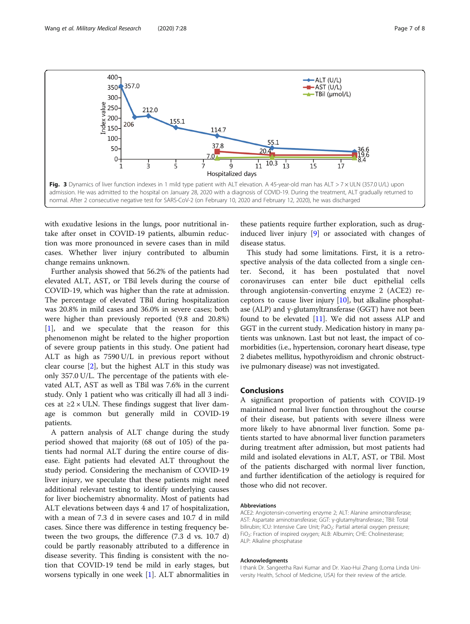

<span id="page-6-0"></span>

with exudative lesions in the lungs, poor nutritional intake after onset in COVID-19 patients, albumin reduction was more pronounced in severe cases than in mild cases. Whether liver injury contributed to albumin change remains unknown.

Further analysis showed that 56.2% of the patients had elevated ALT, AST, or TBil levels during the course of COVID-19, which was higher than the rate at admission. The percentage of elevated TBil during hospitalization was 20.8% in mild cases and 36.0% in severe cases; both were higher than previously reported (9.8 and 20.8%) [[1\]](#page-7-0), and we speculate that the reason for this phenomenon might be related to the higher proportion of severe group patients in this study. One patient had ALT as high as 7590 U/L in previous report without clear course [[2\]](#page-7-0), but the highest ALT in this study was only 357.0 U/L. The percentage of the patients with elevated ALT, AST as well as TBil was 7.6% in the current study. Only 1 patient who was critically ill had all 3 indices at  $\geq$ 2 × ULN. These findings suggest that liver damage is common but generally mild in COVID-19 patients.

A pattern analysis of ALT change during the study period showed that majority (68 out of 105) of the patients had normal ALT during the entire course of disease. Eight patients had elevated ALT throughout the study period. Considering the mechanism of COVID-19 liver injury, we speculate that these patients might need additional relevant testing to identify underlying causes for liver biochemistry abnormality. Most of patients had ALT elevations between days 4 and 17 of hospitalization, with a mean of 7.3 d in severe cases and 10.7 d in mild cases. Since there was difference in testing frequency between the two groups, the difference (7.3 d vs. 10.7 d) could be partly reasonably attributed to a difference in disease severity. This finding is consistent with the notion that COVID-19 tend be mild in early stages, but worsens typically in one week [\[1](#page-7-0)]. ALT abnormalities in these patients require further exploration, such as druginduced liver injury [\[9\]](#page-7-0) or associated with changes of disease status.

This study had some limitations. First, it is a retrospective analysis of the data collected from a single center. Second, it has been postulated that novel coronaviruses can enter bile duct epithelial cells through angiotensin-converting enzyme 2 (ACE2) receptors to cause liver injury [[10\]](#page-7-0), but alkaline phosphatase (ALP) and γ-glutamyltransferase (GGT) have not been found to be elevated [[11](#page-7-0)]. We did not assess ALP and GGT in the current study. Medication history in many patients was unknown. Last but not least, the impact of comorbidities (i.e., hypertension, coronary heart disease, type 2 diabetes mellitus, hypothyroidism and chronic obstructive pulmonary disease) was not investigated.

#### Conclusions

A significant proportion of patients with COVID-19 maintained normal liver function throughout the course of their disease, but patients with severe illness were more likely to have abnormal liver function. Some patients started to have abnormal liver function parameters during treatment after admission, but most patients had mild and isolated elevations in ALT, AST, or TBil. Most of the patients discharged with normal liver function, and further identification of the aetiology is required for those who did not recover.

#### Abbreviations

ACE2: Angiotensin-converting enzyme 2; ALT: Alanine aminotransferase; AST: Aspartate aminotransferase; GGT: γ-glutamyltransferase.; TBil: Total bilirubin; ICU: Intensive Care Unit; PaO<sub>2</sub>: Partial arterial oxygen pressure; FiO2: Fraction of inspired oxygen; ALB: Albumin; CHE: Cholinesterase; ALP: Alkaline phosphatase

#### Acknowledgments

I thank Dr. Sangeetha Ravi Kumar and Dr. Xiao-Hui Zhang (Loma Linda University Health, School of Medicine, USA) for their review of the article.